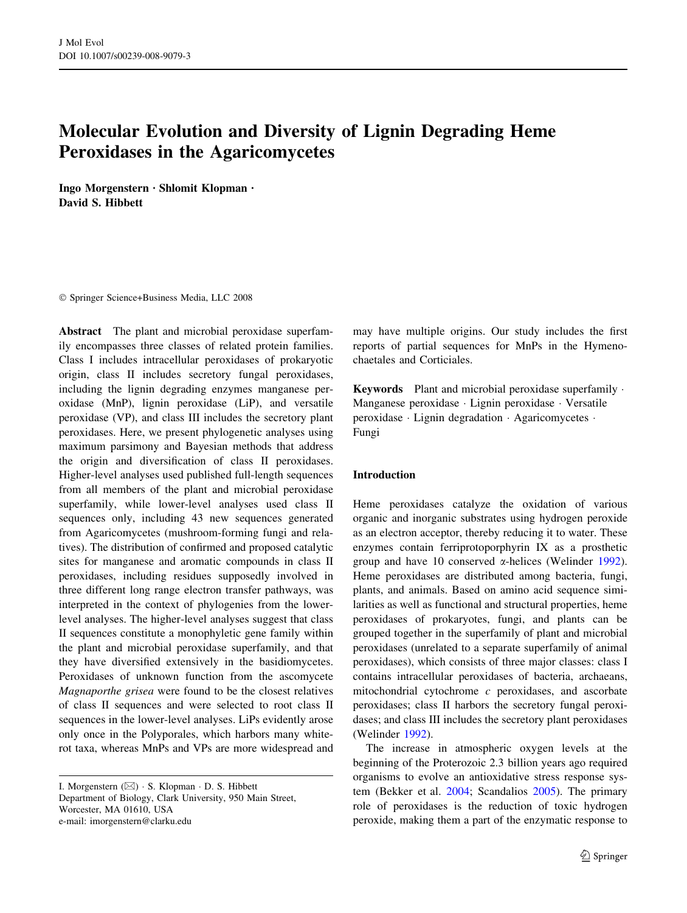# Molecular Evolution and Diversity of Lignin Degrading Heme Peroxidases in the Agaricomycetes

Ingo Morgenstern · Shlomit Klopman · David S. Hibbett

! Springer Science+Business Media, LLC 2008

Abstract The plant and microbial peroxidase superfamily encompasses three classes of related protein families. Class I includes intracellular peroxidases of prokaryotic origin, class II includes secretory fungal peroxidases, including the lignin degrading enzymes manganese peroxidase (MnP), lignin peroxidase (LiP), and versatile peroxidase (VP), and class III includes the secretory plant peroxidases. Here, we present phylogenetic analyses using maximum parsimony and Bayesian methods that address the origin and diversification of class II peroxidases. Higher-level analyses used published full-length sequences from all members of the plant and microbial peroxidase superfamily, while lower-level analyses used class II sequences only, including 43 new sequences generated from Agaricomycetes (mushroom-forming fungi and relatives). The distribution of confirmed and proposed catalytic sites for manganese and aromatic compounds in class II peroxidases, including residues supposedly involved in three different long range electron transfer pathways, was interpreted in the context of phylogenies from the lowerlevel analyses. The higher-level analyses suggest that class II sequences constitute a monophyletic gene family within the plant and microbial peroxidase superfamily, and that they have diversified extensively in the basidiomycetes. Peroxidases of unknown function from the ascomycete Magnaporthe grisea were found to be the closest relatives of class II sequences and were selected to root class II sequences in the lower-level analyses. LiPs evidently arose only once in the Polyporales, which harbors many whiterot taxa, whereas MnPs and VPs are more widespread and

may have multiple origins. Our study includes the first reports of partial sequences for MnPs in the Hymenochaetales and Corticiales.

**Keywords** Plant and microbial peroxidase superfamily  $\cdot$ Manganese peroxidase · Lignin peroxidase · Versatile peroxidase · Lignin degradation · Agaricomycetes · Fungi

# Introduction

Heme peroxidases catalyze the oxidation of various organic and inorganic substrates using hydrogen peroxide as an electron acceptor, thereby reducing it to water. These enzymes contain ferriprotoporphyrin IX as a prosthetic group and have 10 conserved  $\alpha$ -helices (Welinder [1992](#page-14-0)). Heme peroxidases are distributed among bacteria, fungi, plants, and animals. Based on amino acid sequence similarities as well as functional and structural properties, heme peroxidases of prokaryotes, fungi, and plants can be grouped together in the superfamily of plant and microbial peroxidases (unrelated to a separate superfamily of animal peroxidases), which consists of three major classes: class I contains intracellular peroxidases of bacteria, archaeans, mitochondrial cytochrome c peroxidases, and ascorbate peroxidases; class II harbors the secretory fungal peroxidases; and class III includes the secretory plant peroxidases (Welinder [1992](#page-14-0)).

The increase in atmospheric oxygen levels at the beginning of the Proterozoic 2.3 billion years ago required organisms to evolve an antioxidative stress response system (Bekker et al. [2004](#page-13-0); Scandalios [2005](#page-14-0)). The primary role of peroxidases is the reduction of toxic hydrogen peroxide, making them a part of the enzymatic response to

I. Morgenstern  $(\boxtimes) \cdot$  S. Klopman  $\cdot$  D. S. Hibbett Department of Biology, Clark University, 950 Main Street, Worcester, MA 01610, USA e-mail: imorgenstern@clarku.edu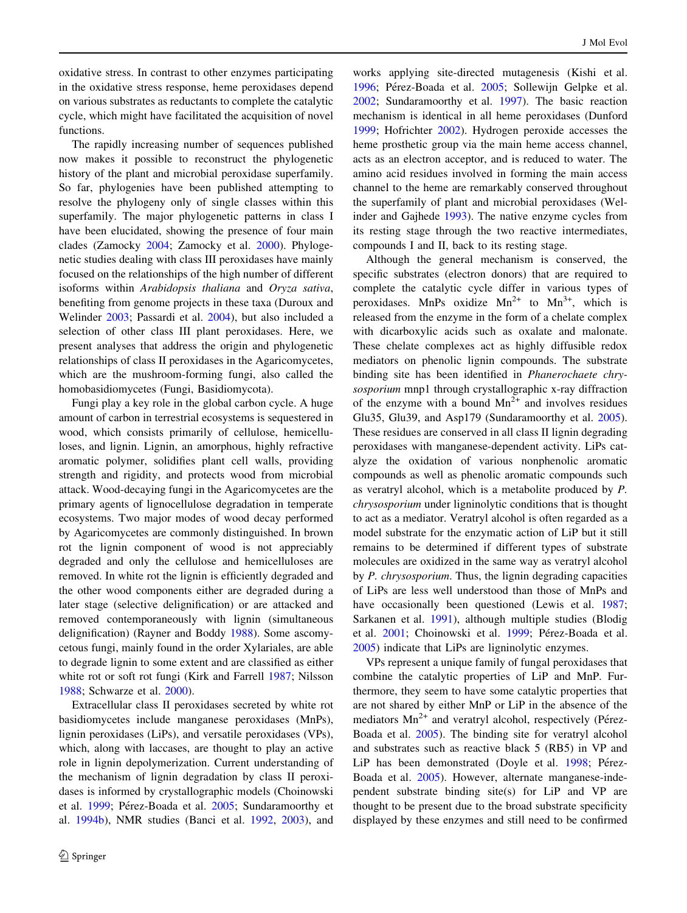oxidative stress. In contrast to other enzymes participating in the oxidative stress response, heme peroxidases depend on various substrates as reductants to complete the catalytic cycle, which might have facilitated the acquisition of novel functions.

The rapidly increasing number of sequences published now makes it possible to reconstruct the phylogenetic history of the plant and microbial peroxidase superfamily. So far, phylogenies have been published attempting to resolve the phylogeny only of single classes within this superfamily. The major phylogenetic patterns in class I have been elucidated, showing the presence of four main clades (Zamocky [2004;](#page-14-0) Zamocky et al. [2000](#page-14-0)). Phylogenetic studies dealing with class III peroxidases have mainly focused on the relationships of the high number of different isoforms within Arabidopsis thaliana and Oryza sativa, benefiting from genome projects in these taxa (Duroux and Welinder [2003](#page-13-0); Passardi et al. [2004](#page-13-0)), but also included a selection of other class III plant peroxidases. Here, we present analyses that address the origin and phylogenetic relationships of class II peroxidases in the Agaricomycetes, which are the mushroom-forming fungi, also called the homobasidiomycetes (Fungi, Basidiomycota).

Fungi play a key role in the global carbon cycle. A huge amount of carbon in terrestrial ecosystems is sequestered in wood, which consists primarily of cellulose, hemicelluloses, and lignin. Lignin, an amorphous, highly refractive aromatic polymer, solidifies plant cell walls, providing strength and rigidity, and protects wood from microbial attack. Wood-decaying fungi in the Agaricomycetes are the primary agents of lignocellulose degradation in temperate ecosystems. Two major modes of wood decay performed by Agaricomycetes are commonly distinguished. In brown rot the lignin component of wood is not appreciably degraded and only the cellulose and hemicelluloses are removed. In white rot the lignin is efficiently degraded and the other wood components either are degraded during a later stage (selective delignification) or are attacked and removed contemporaneously with lignin (simultaneous delignification) (Rayner and Boddy [1988\)](#page-14-0). Some ascomycetous fungi, mainly found in the order Xylariales, are able to degrade lignin to some extent and are classified as either white rot or soft rot fungi (Kirk and Farrell [1987;](#page-13-0) Nilsson [1988;](#page-13-0) Schwarze et al. [2000\)](#page-14-0).

Extracellular class II peroxidases secreted by white rot basidiomycetes include manganese peroxidases (MnPs), lignin peroxidases (LiPs), and versatile peroxidases (VPs), which, along with laccases, are thought to play an active role in lignin depolymerization. Current understanding of the mechanism of lignin degradation by class II peroxidases is informed by crystallographic models (Choinowski et al. [1999;](#page-13-0) Pérez-Boada et al. [2005](#page-13-0); Sundaramoorthy et al. [1994b](#page-14-0)), NMR studies (Banci et al. [1992](#page-12-0), [2003](#page-13-0)), and

works applying site-directed mutagenesis (Kishi et al. [1996](#page-13-0); Pérez-Boada et al. [2005](#page-13-0); Sollewijn Gelpke et al. [2002](#page-14-0); Sundaramoorthy et al. [1997\)](#page-14-0). The basic reaction mechanism is identical in all heme peroxidases (Dunford [1999](#page-13-0); Hofrichter [2002](#page-13-0)). Hydrogen peroxide accesses the heme prosthetic group via the main heme access channel, acts as an electron acceptor, and is reduced to water. The amino acid residues involved in forming the main access channel to the heme are remarkably conserved throughout the superfamily of plant and microbial peroxidases (Welinder and Gajhede [1993](#page-14-0)). The native enzyme cycles from its resting stage through the two reactive intermediates, compounds I and II, back to its resting stage.

Although the general mechanism is conserved, the specific substrates (electron donors) that are required to complete the catalytic cycle differ in various types of peroxidases. MnPs oxidize  $Mn^{2+}$  to  $Mn^{3+}$ , which is released from the enzyme in the form of a chelate complex with dicarboxylic acids such as oxalate and malonate. These chelate complexes act as highly diffusible redox mediators on phenolic lignin compounds. The substrate binding site has been identified in Phanerochaete chrysosporium mnp1 through crystallographic x-ray diffraction of the enzyme with a bound  $Mn^{2+}$  and involves residues Glu35, Glu39, and Asp179 (Sundaramoorthy et al. [2005](#page-14-0)). These residues are conserved in all class II lignin degrading peroxidases with manganese-dependent activity. LiPs catalyze the oxidation of various nonphenolic aromatic compounds as well as phenolic aromatic compounds such as veratryl alcohol, which is a metabolite produced by P. chrysosporium under ligninolytic conditions that is thought to act as a mediator. Veratryl alcohol is often regarded as a model substrate for the enzymatic action of LiP but it still remains to be determined if different types of substrate molecules are oxidized in the same way as veratryl alcohol by P. chrysosporium. Thus, the lignin degrading capacities of LiPs are less well understood than those of MnPs and have occasionally been questioned (Lewis et al. [1987](#page-13-0); Sarkanen et al. [1991\)](#page-14-0), although multiple studies (Blodig et al. [2001;](#page-13-0) Choinowski et al. [1999](#page-13-0); Pérez-Boada et al. [2005](#page-13-0)) indicate that LiPs are ligninolytic enzymes.

VPs represent a unique family of fungal peroxidases that combine the catalytic properties of LiP and MnP. Furthermore, they seem to have some catalytic properties that are not shared by either MnP or LiP in the absence of the mediators  $Mn^{2+}$  and veratryl alcohol, respectively (Pérez-Boada et al. [2005\)](#page-13-0). The binding site for veratryl alcohol and substrates such as reactive black 5 (RB5) in VP and LiP has been demonstrated (Doyle et al. [1998](#page-13-0); Pérez-Boada et al. [2005\)](#page-13-0). However, alternate manganese-independent substrate binding site(s) for LiP and VP are thought to be present due to the broad substrate specificity displayed by these enzymes and still need to be confirmed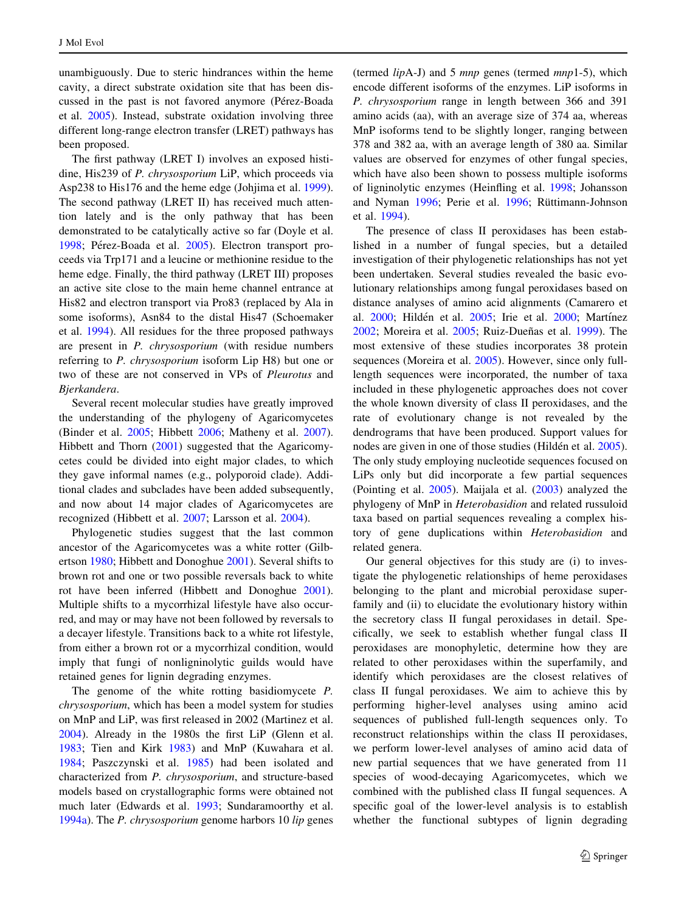unambiguously. Due to steric hindrances within the heme cavity, a direct substrate oxidation site that has been discussed in the past is not favored anymore (Pérez-Boada et al. [2005](#page-13-0)). Instead, substrate oxidation involving three different long-range electron transfer (LRET) pathways has been proposed.

The first pathway (LRET I) involves an exposed histidine, His239 of P. chrysosporium LiP, which proceeds via Asp238 to His176 and the heme edge (Johjima et al. [1999](#page-13-0)). The second pathway (LRET II) has received much attention lately and is the only pathway that has been demonstrated to be catalytically active so far (Doyle et al. [1998;](#page-13-0) Pérez-Boada et al. [2005](#page-13-0)). Electron transport proceeds via Trp171 and a leucine or methionine residue to the heme edge. Finally, the third pathway (LRET III) proposes an active site close to the main heme channel entrance at His82 and electron transport via Pro83 (replaced by Ala in some isoforms), Asn84 to the distal His47 (Schoemaker et al. [1994\)](#page-14-0). All residues for the three proposed pathways are present in P. chrysosporium (with residue numbers referring to P. chrysosporium isoform Lip H8) but one or two of these are not conserved in VPs of Pleurotus and Bjerkandera.

Several recent molecular studies have greatly improved the understanding of the phylogeny of Agaricomycetes (Binder et al. [2005](#page-13-0); Hibbett [2006;](#page-13-0) Matheny et al. [2007](#page-13-0)). Hibbett and Thorn [\(2001](#page-13-0)) suggested that the Agaricomycetes could be divided into eight major clades, to which they gave informal names (e.g., polyporoid clade). Additional clades and subclades have been added subsequently, and now about 14 major clades of Agaricomycetes are recognized (Hibbett et al. [2007;](#page-13-0) Larsson et al. [2004](#page-13-0)).

Phylogenetic studies suggest that the last common ancestor of the Agaricomycetes was a white rotter (Gilbertson [1980;](#page-13-0) Hibbett and Donoghue [2001\)](#page-13-0). Several shifts to brown rot and one or two possible reversals back to white rot have been inferred (Hibbett and Donoghue [2001](#page-13-0)). Multiple shifts to a mycorrhizal lifestyle have also occurred, and may or may have not been followed by reversals to a decayer lifestyle. Transitions back to a white rot lifestyle, from either a brown rot or a mycorrhizal condition, would imply that fungi of nonligninolytic guilds would have retained genes for lignin degrading enzymes.

The genome of the white rotting basidiomycete P. chrysosporium, which has been a model system for studies on MnP and LiP, was first released in 2002 (Martinez et al. [2004\)](#page-13-0). Already in the 1980s the first LiP (Glenn et al. [1983;](#page-13-0) Tien and Kirk [1983](#page-14-0)) and MnP (Kuwahara et al. [1984;](#page-13-0) Paszczynski et al. [1985\)](#page-13-0) had been isolated and characterized from P. chrysosporium, and structure-based models based on crystallographic forms were obtained not much later (Edwards et al. [1993](#page-13-0); Sundaramoorthy et al. [1994a](#page-14-0)). The P. chrysosporium genome harbors 10 lip genes (termed  $lipA-J$ ) and 5 mnp genes (termed mnp1-5), which encode different isoforms of the enzymes. LiP isoforms in P. chrysosporium range in length between 366 and 391 amino acids (aa), with an average size of 374 aa, whereas MnP isoforms tend to be slightly longer, ranging between 378 and 382 aa, with an average length of 380 aa. Similar values are observed for enzymes of other fungal species, which have also been shown to possess multiple isoforms of ligninolytic enzymes (Heinfling et al. [1998;](#page-13-0) Johansson and Nyman [1996;](#page-13-0) Perie et al. [1996](#page-14-0); Rüttimann-Johnson et al. [1994\)](#page-14-0).

The presence of class II peroxidases has been established in a number of fungal species, but a detailed investigation of their phylogenetic relationships has not yet been undertaken. Several studies revealed the basic evolutionary relationships among fungal peroxidases based on distance analyses of amino acid alignments (Camarero et al. [2000](#page-13-0); Hildén et al. [2005](#page-13-0); Irie et al. 2000; Martínez [2002](#page-13-0); Moreira et al. [2005;](#page-13-0) Ruiz-Dueñas et al. [1999](#page-14-0)). The most extensive of these studies incorporates 38 protein sequences (Moreira et al. [2005\)](#page-13-0). However, since only fulllength sequences were incorporated, the number of taxa included in these phylogenetic approaches does not cover the whole known diversity of class II peroxidases, and the rate of evolutionary change is not revealed by the dendrograms that have been produced. Support values for nodes are given in one of those studies (Hildén et al. [2005](#page-13-0)). The only study employing nucleotide sequences focused on LiPs only but did incorporate a few partial sequences (Pointing et al. [2005](#page-14-0)). Maijala et al. ([2003\)](#page-13-0) analyzed the phylogeny of MnP in Heterobasidion and related russuloid taxa based on partial sequences revealing a complex history of gene duplications within Heterobasidion and related genera.

Our general objectives for this study are (i) to investigate the phylogenetic relationships of heme peroxidases belonging to the plant and microbial peroxidase superfamily and (ii) to elucidate the evolutionary history within the secretory class II fungal peroxidases in detail. Specifically, we seek to establish whether fungal class II peroxidases are monophyletic, determine how they are related to other peroxidases within the superfamily, and identify which peroxidases are the closest relatives of class II fungal peroxidases. We aim to achieve this by performing higher-level analyses using amino acid sequences of published full-length sequences only. To reconstruct relationships within the class II peroxidases, we perform lower-level analyses of amino acid data of new partial sequences that we have generated from 11 species of wood-decaying Agaricomycetes, which we combined with the published class II fungal sequences. A specific goal of the lower-level analysis is to establish whether the functional subtypes of lignin degrading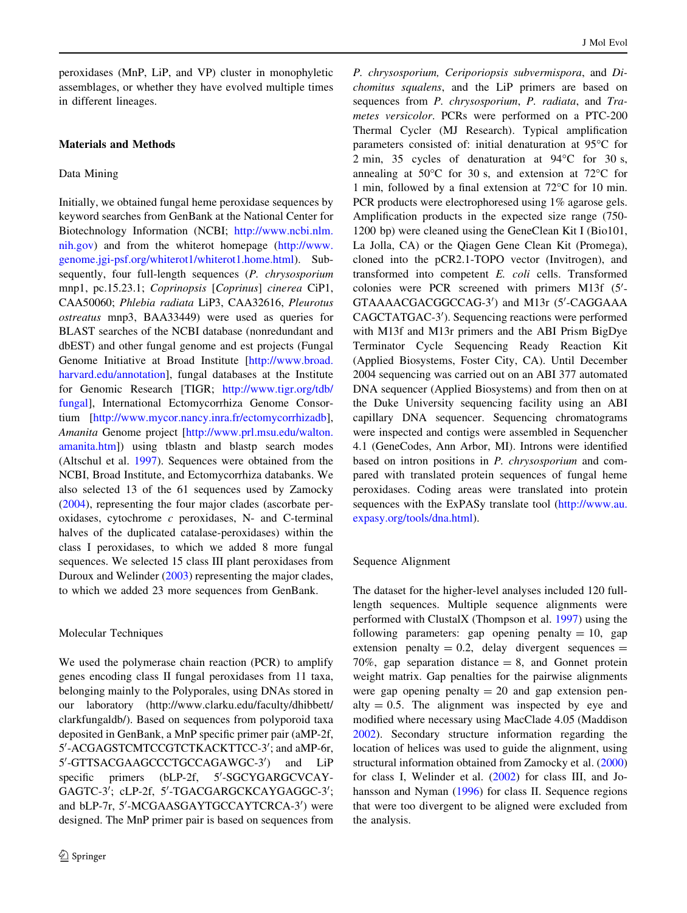peroxidases (MnP, LiP, and VP) cluster in monophyletic assemblages, or whether they have evolved multiple times in different lineages.

## Materials and Methods

## Data Mining

Initially, we obtained fungal heme peroxidase sequences by keyword searches from GenBank at the National Center for Biotechnology Information (NCBI; [http://www.ncbi.nlm.](http://www.ncbi.nlm.nih.gov) [nih.gov](http://www.ncbi.nlm.nih.gov)) and from the whiterot homepage [\(http://www.](http://www.genome.jgi-psf.org/whiterot1/whiterot1.home.html) [genome.jgi-psf.org/whiterot1/whiterot1.home.html](http://www.genome.jgi-psf.org/whiterot1/whiterot1.home.html)). Subsequently, four full-length sequences (P. chrysosporium mnp1, pc.15.23.1; Coprinopsis [Coprinus] cinerea CiP1, CAA50060; Phlebia radiata LiP3, CAA32616, Pleurotus ostreatus mnp3, BAA33449) were used as queries for BLAST searches of the NCBI database (nonredundant and dbEST) and other fungal genome and est projects (Fungal Genome Initiative at Broad Institute [[http://www.broad.](http://www.broad.harvard.edu/annotation) [harvard.edu/annotation\]](http://www.broad.harvard.edu/annotation), fungal databases at the Institute for Genomic Research [TIGR; [http://www.tigr.org/tdb/](http://www.tigr.org/tdb/fungal) [fungal\]](http://www.tigr.org/tdb/fungal), International Ectomycorrhiza Genome Consortium [<http://www.mycor.nancy.inra.fr/ectomycorrhizadb>], Amanita Genome project [\[http://www.prl.msu.edu/walton.](http://www.prl.msu.edu/walton.amanita.htm) [amanita.htm\]](http://www.prl.msu.edu/walton.amanita.htm)) using tblastn and blastp search modes (Altschul et al. [1997](#page-12-0)). Sequences were obtained from the NCBI, Broad Institute, and Ectomycorrhiza databanks. We also selected 13 of the 61 sequences used by Zamocky [\(2004](#page-14-0)), representing the four major clades (ascorbate peroxidases, cytochrome  $c$  peroxidases, N- and C-terminal halves of the duplicated catalase-peroxidases) within the class I peroxidases, to which we added 8 more fungal sequences. We selected 15 class III plant peroxidases from Duroux and Welinder ([2003\)](#page-13-0) representing the major clades, to which we added 23 more sequences from GenBank.

### Molecular Techniques

We used the polymerase chain reaction (PCR) to amplify genes encoding class II fungal peroxidases from 11 taxa, belonging mainly to the Polyporales, using DNAs stored in our laboratory (http://www.clarku.edu/faculty/dhibbett/ clarkfungaldb/). Based on sequences from polyporoid taxa deposited in GenBank, a MnP specific primer pair (aMP-2f, 5'-ACGAGSTCMTCCGTCTKACKTTCC-3'; and aMP-6r, 5'-GTTSACGAAGCCCTGCCAGAWGC-3') and LiP specific primers  $(bLP-2f,$ -SGCYGARGCVCAY-GAGTC-3'; cLP-2f, 5'-TGACGARGCKCAYGAGGC-3'; and bLP-7r, 5'-MCGAASGAYTGCCAYTCRCA-3') were designed. The MnP primer pair is based on sequences from P. chrysosporium, Ceriporiopsis subvermispora, and Dichomitus squalens, and the LiP primers are based on sequences from P. chrysosporium, P. radiata, and Trametes versicolor. PCRs were performed on a PTC-200 Thermal Cycler (MJ Research). Typical amplification parameters consisted of: initial denaturation at 95"C for 2 min, 35 cycles of denaturation at 94"C for 30 s, annealing at  $50^{\circ}$ C for 30 s, and extension at  $72^{\circ}$ C for 1 min, followed by a final extension at 72"C for 10 min. PCR products were electrophoresed using 1% agarose gels. Amplification products in the expected size range (750- 1200 bp) were cleaned using the GeneClean Kit I (Bio101, La Jolla, CA) or the Qiagen Gene Clean Kit (Promega), cloned into the pCR2.1-TOPO vector (Invitrogen), and transformed into competent E. coli cells. Transformed colonies were PCR screened with primers M13f  $(5')$ -GTAAAACGACGGCCAG-3') and M13r (5'-CAGGAAA CAGCTATGAC-3'). Sequencing reactions were performed with M13f and M13r primers and the ABI Prism BigDye Terminator Cycle Sequencing Ready Reaction Kit (Applied Biosystems, Foster City, CA). Until December 2004 sequencing was carried out on an ABI 377 automated DNA sequencer (Applied Biosystems) and from then on at the Duke University sequencing facility using an ABI capillary DNA sequencer. Sequencing chromatograms were inspected and contigs were assembled in Sequencher 4.1 (GeneCodes, Ann Arbor, MI). Introns were identified based on intron positions in P. chrysosporium and compared with translated protein sequences of fungal heme peroxidases. Coding areas were translated into protein sequences with the ExPASy translate tool [\(http://www.au.](http://www.au.expasy.org/tools/dna.html) [expasy.org/tools/dna.html](http://www.au.expasy.org/tools/dna.html)).

### Sequence Alignment

The dataset for the higher-level analyses included 120 fulllength sequences. Multiple sequence alignments were performed with ClustalX (Thompson et al. [1997](#page-14-0)) using the following parameters: gap opening penalty  $= 10$ , gap extension penalty  $= 0.2$ , delay divergent sequences  $=$ 70%, gap separation distance  $= 8$ , and Gonnet protein weight matrix. Gap penalties for the pairwise alignments were gap opening penalty  $= 20$  and gap extension penalty  $= 0.5$ . The alignment was inspected by eye and modified where necessary using MacClade 4.05 (Maddison [2002](#page-13-0)). Secondary structure information regarding the location of helices was used to guide the alignment, using structural information obtained from Zamocky et al. ([2000\)](#page-14-0) for class I, Welinder et al. [\(2002](#page-14-0)) for class III, and Johansson and Nyman ([1996\)](#page-13-0) for class II. Sequence regions that were too divergent to be aligned were excluded from the analysis.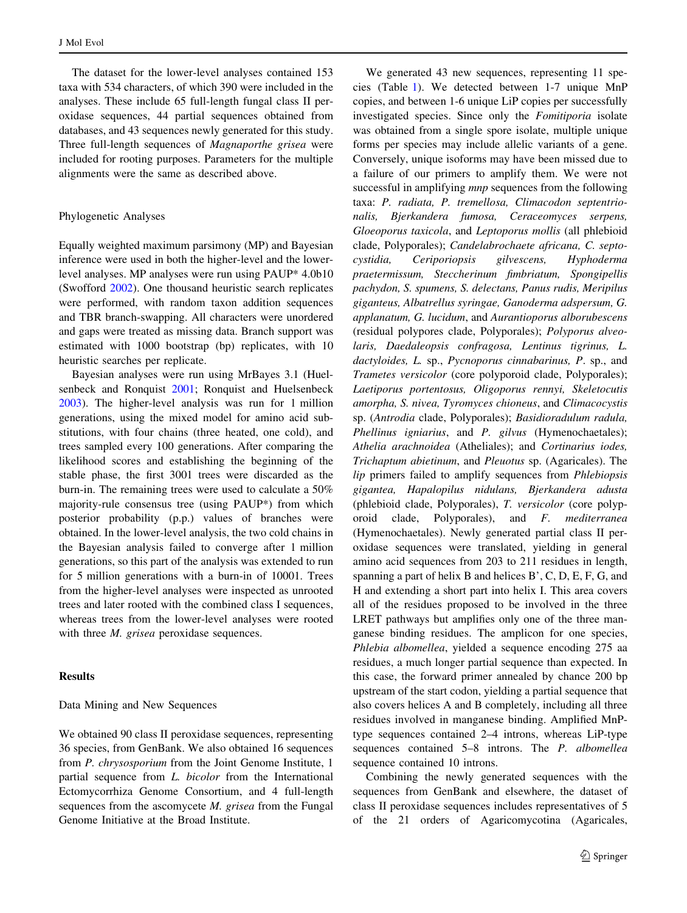The dataset for the lower-level analyses contained 153 taxa with 534 characters, of which 390 were included in the analyses. These include 65 full-length fungal class II peroxidase sequences, 44 partial sequences obtained from databases, and 43 sequences newly generated for this study. Three full-length sequences of Magnaporthe grisea were included for rooting purposes. Parameters for the multiple alignments were the same as described above.

# Phylogenetic Analyses

Equally weighted maximum parsimony (MP) and Bayesian inference were used in both the higher-level and the lowerlevel analyses. MP analyses were run using PAUP\* 4.0b10 (Swofford [2002](#page-14-0)). One thousand heuristic search replicates were performed, with random taxon addition sequences and TBR branch-swapping. All characters were unordered and gaps were treated as missing data. Branch support was estimated with 1000 bootstrap (bp) replicates, with 10 heuristic searches per replicate.

Bayesian analyses were run using MrBayes 3.1 (Huelsenbeck and Ronquist [2001;](#page-13-0) Ronquist and Huelsenbeck [2003\)](#page-14-0). The higher-level analysis was run for 1 million generations, using the mixed model for amino acid substitutions, with four chains (three heated, one cold), and trees sampled every 100 generations. After comparing the likelihood scores and establishing the beginning of the stable phase, the first 3001 trees were discarded as the burn-in. The remaining trees were used to calculate a 50% majority-rule consensus tree (using PAUP\*) from which posterior probability (p.p.) values of branches were obtained. In the lower-level analysis, the two cold chains in the Bayesian analysis failed to converge after 1 million generations, so this part of the analysis was extended to run for 5 million generations with a burn-in of 10001. Trees from the higher-level analyses were inspected as unrooted trees and later rooted with the combined class I sequences, whereas trees from the lower-level analyses were rooted with three *M. grisea* peroxidase sequences.

## Results

#### Data Mining and New Sequences

We obtained 90 class II peroxidase sequences, representing 36 species, from GenBank. We also obtained 16 sequences from P. chrysosporium from the Joint Genome Institute, 1 partial sequence from L. bicolor from the International Ectomycorrhiza Genome Consortium, and 4 full-length sequences from the ascomycete *M. grisea* from the Fungal Genome Initiative at the Broad Institute.

We generated 43 new sequences, representing 11 species (Table [1](#page-5-0)). We detected between 1-7 unique MnP copies, and between 1-6 unique LiP copies per successfully investigated species. Since only the Fomitiporia isolate was obtained from a single spore isolate, multiple unique forms per species may include allelic variants of a gene. Conversely, unique isoforms may have been missed due to a failure of our primers to amplify them. We were not successful in amplifying *mnp* sequences from the following taxa: P. radiata, P. tremellosa, Climacodon septentrionalis, Bjerkandera fumosa, Ceraceomyces serpens, Gloeoporus taxicola, and Leptoporus mollis (all phlebioid clade, Polyporales); Candelabrochaete africana, C. septocystidia, Ceriporiopsis gilvescens, Hyphoderma praetermissum, Steccherinum fimbriatum, Spongipellis pachydon, S. spumens, S. delectans, Panus rudis, Meripilus giganteus, Albatrellus syringae, Ganoderma adspersum, G. applanatum, G. lucidum, and Aurantioporus alborubescens (residual polypores clade, Polyporales); Polyporus alveolaris, Daedaleopsis confragosa, Lentinus tigrinus, L. dactyloides, L. sp., Pycnoporus cinnabarinus, P. sp., and Trametes versicolor (core polyporoid clade, Polyporales); Laetiporus portentosus, Oligoporus rennyi, Skeletocutis amorpha, S. nivea, Tyromyces chioneus, and Climacocystis sp. (Antrodia clade, Polyporales); Basidioradulum radula, Phellinus igniarius, and P. gilvus (Hymenochaetales); Athelia arachnoidea (Atheliales); and Cortinarius iodes, Trichaptum abietinum, and Pleuotus sp. (Agaricales). The lip primers failed to amplify sequences from Phlebiopsis gigantea, Hapalopilus nidulans, Bjerkandera adusta (phlebioid clade, Polyporales), T. versicolor (core polyporoid clade, Polyporales), and F. mediterranea (Hymenochaetales). Newly generated partial class II peroxidase sequences were translated, yielding in general amino acid sequences from 203 to 211 residues in length, spanning a part of helix B and helices B', C, D, E, F, G, and H and extending a short part into helix I. This area covers all of the residues proposed to be involved in the three LRET pathways but amplifies only one of the three manganese binding residues. The amplicon for one species, Phlebia albomellea, yielded a sequence encoding 275 aa residues, a much longer partial sequence than expected. In this case, the forward primer annealed by chance 200 bp upstream of the start codon, yielding a partial sequence that also covers helices A and B completely, including all three residues involved in manganese binding. Amplified MnPtype sequences contained 2–4 introns, whereas LiP-type sequences contained 5–8 introns. The P. albomellea sequence contained 10 introns.

Combining the newly generated sequences with the sequences from GenBank and elsewhere, the dataset of class II peroxidase sequences includes representatives of 5 of the 21 orders of Agaricomycotina (Agaricales,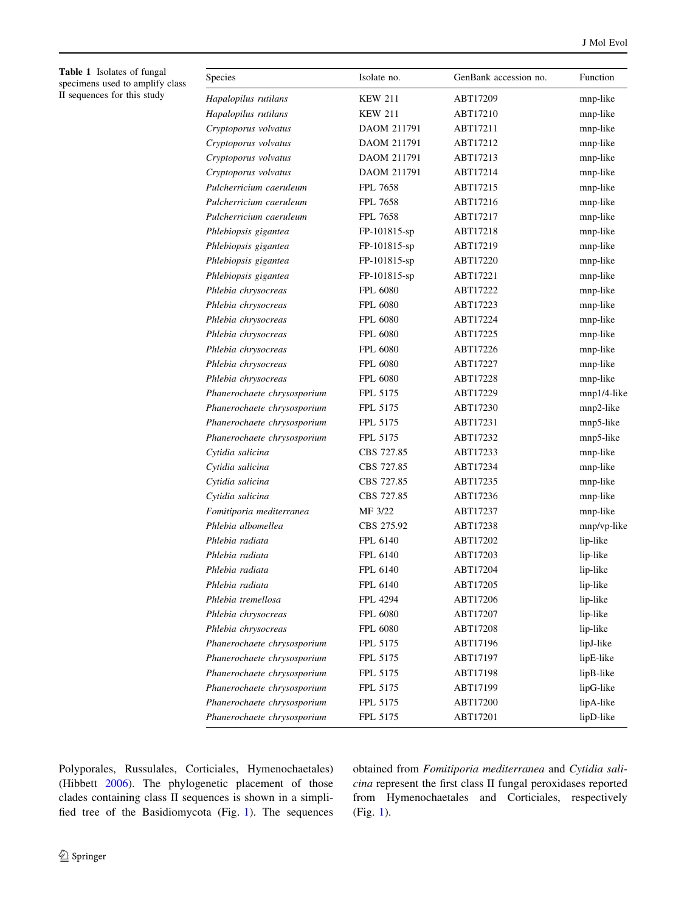<span id="page-5-0"></span>Table 1 Isolates of fungal specimens used to amplify class II sequences for this study

| Species                     | Isolate no.     | GenBank accession no. | Function    |
|-----------------------------|-----------------|-----------------------|-------------|
| Hapalopilus rutilans        | <b>KEW 211</b>  | ABT17209              | mnp-like    |
| Hapalopilus rutilans        | <b>KEW 211</b>  | ABT17210              | mnp-like    |
| Cryptoporus volvatus        | DAOM 211791     | ABT17211              | mnp-like    |
| Cryptoporus volvatus        | DAOM 211791     | ABT17212              | mnp-like    |
| Cryptoporus volvatus        | DAOM 211791     | ABT17213              | mnp-like    |
| Cryptoporus volvatus        | DAOM 211791     | ABT17214              | mnp-like    |
| Pulcherricium caeruleum     | <b>FPL 7658</b> | ABT17215              | mnp-like    |
| Pulcherricium caeruleum     | <b>FPL 7658</b> | ABT17216              | mnp-like    |
| Pulcherricium caeruleum     | <b>FPL 7658</b> | ABT17217              | mnp-like    |
| Phlebiopsis gigantea        | FP-101815-sp    | ABT17218              | mnp-like    |
| Phlebiopsis gigantea        | FP-101815-sp    | ABT17219              | mnp-like    |
| Phlebiopsis gigantea        | FP-101815-sp    | ABT17220              | mnp-like    |
| Phlebiopsis gigantea        | FP-101815-sp    | ABT17221              | mnp-like    |
| Phlebia chrysocreas         | <b>FPL 6080</b> | ABT17222              | mnp-like    |
| Phlebia chrysocreas         | <b>FPL 6080</b> | ABT17223              | mnp-like    |
| Phlebia chrysocreas         | <b>FPL 6080</b> | ABT17224              | mnp-like    |
| Phlebia chrysocreas         | <b>FPL 6080</b> | ABT17225              | mnp-like    |
| Phlebia chrysocreas         | <b>FPL 6080</b> | ABT17226              | mnp-like    |
| Phlebia chrysocreas         | <b>FPL 6080</b> | ABT17227              | mnp-like    |
| Phlebia chrysocreas         | <b>FPL 6080</b> | ABT17228              | mnp-like    |
| Phanerochaete chrysosporium | FPL 5175        | ABT17229              | mnp1/4-like |
| Phanerochaete chrysosporium | FPL 5175        | ABT17230              | mnp2-like   |
| Phanerochaete chrysosporium | FPL 5175        | ABT17231              | mnp5-like   |
| Phanerochaete chrysosporium | FPL 5175        | ABT17232              | mnp5-like   |
| Cytidia salicina            | CBS 727.85      | ABT17233              | mnp-like    |
| Cytidia salicina            | CBS 727.85      | ABT17234              | mnp-like    |
| Cytidia salicina            | CBS 727.85      | ABT17235              | mnp-like    |
| Cytidia salicina            | CBS 727.85      | ABT17236              | mnp-like    |
| Fomitiporia mediterranea    | MF 3/22         | ABT17237              | mnp-like    |
| Phlebia albomellea          | CBS 275.92      | ABT17238              | mnp/vp-like |
| Phlebia radiata             | FPL 6140        | ABT17202              | lip-like    |
| Phlebia radiata             | FPL 6140        | ABT17203              | lip-like    |
| Phlebia radiata             | FPL 6140        | ABT17204              | lip-like    |
| Phlebia radiata             | FPL 6140        | ABT17205              | lip-like    |
| Phlebia tremellosa          | FPL 4294        | ABT17206              | lip-like    |
| Phlebia chrysocreas         | FPL 6080        | ABT17207              | lip-like    |
| Phlebia chrysocreas         | FPL 6080        | ABT17208              | lip-like    |
| Phanerochaete chrysosporium | FPL 5175        | ABT17196              | lipJ-like   |
| Phanerochaete chrysosporium | FPL 5175        | ABT17197              | lipE-like   |
| Phanerochaete chrysosporium | FPL 5175        | ABT17198              | lipB-like   |
| Phanerochaete chrysosporium | FPL 5175        | ABT17199              | lipG-like   |
| Phanerochaete chrysosporium | FPL 5175        | ABT17200              | lipA-like   |
| Phanerochaete chrysosporium | FPL 5175        | ABT17201              | lipD-like   |

Polyporales, Russulales, Corticiales, Hymenochaetales) (Hibbett [2006](#page-13-0)). The phylogenetic placement of those clades containing class II sequences is shown in a simplified tree of the Basidiomycota (Fig. [1](#page-6-0)). The sequences obtained from Fomitiporia mediterranea and Cytidia salicina represent the first class II fungal peroxidases reported from Hymenochaetales and Corticiales, respectively (Fig. [1\)](#page-6-0).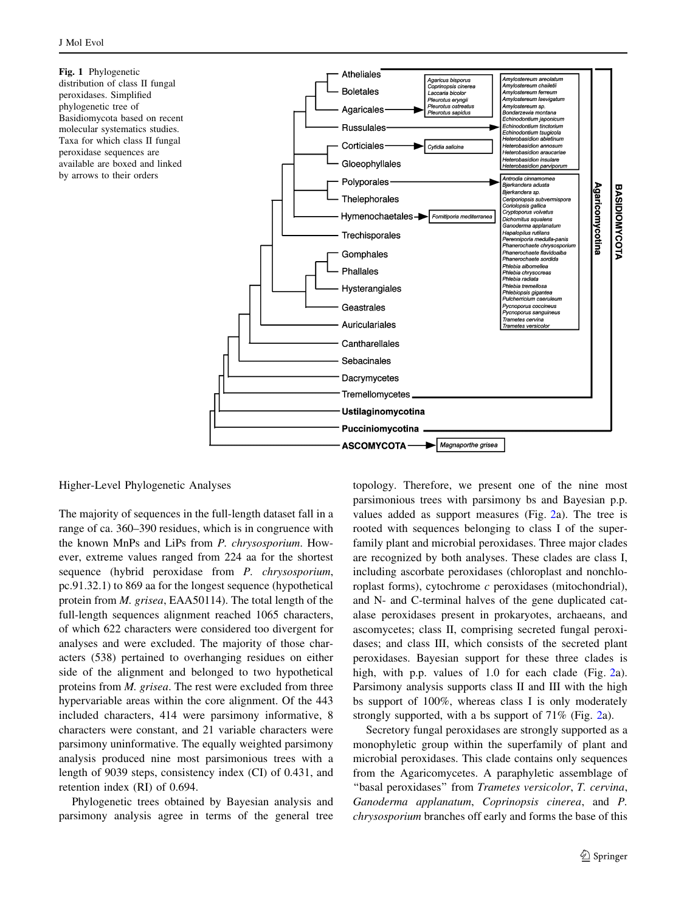<span id="page-6-0"></span>Fig. 1 Phylogenetic distribution of class II fungal peroxidases. Simplified phylogenetic tree of Basidiomycota based on recent molecular systematics studies. Taxa for which class II fungal peroxidase sequences are available are boxed and linked by arrows to their orders



Higher-Level Phylogenetic Analyses

The majority of sequences in the full-length dataset fall in a range of ca. 360–390 residues, which is in congruence with the known MnPs and LiPs from P. chrysosporium. However, extreme values ranged from 224 aa for the shortest sequence (hybrid peroxidase from *P. chrysosporium*, pc.91.32.1) to 869 aa for the longest sequence (hypothetical protein from M. grisea, EAA50114). The total length of the full-length sequences alignment reached 1065 characters, of which 622 characters were considered too divergent for analyses and were excluded. The majority of those characters (538) pertained to overhanging residues on either side of the alignment and belonged to two hypothetical proteins from M. grisea. The rest were excluded from three hypervariable areas within the core alignment. Of the 443 included characters, 414 were parsimony informative, 8 characters were constant, and 21 variable characters were parsimony uninformative. The equally weighted parsimony analysis produced nine most parsimonious trees with a length of 9039 steps, consistency index (CI) of 0.431, and retention index (RI) of 0.694.

Phylogenetic trees obtained by Bayesian analysis and parsimony analysis agree in terms of the general tree topology. Therefore, we present one of the nine most parsimonious trees with parsimony bs and Bayesian p.p. values added as support measures (Fig. [2](#page-7-0)a). The tree is rooted with sequences belonging to class I of the superfamily plant and microbial peroxidases. Three major clades are recognized by both analyses. These clades are class I, including ascorbate peroxidases (chloroplast and nonchloroplast forms), cytochrome c peroxidases (mitochondrial), and N- and C-terminal halves of the gene duplicated catalase peroxidases present in prokaryotes, archaeans, and ascomycetes; class II, comprising secreted fungal peroxidases; and class III, which consists of the secreted plant peroxidases. Bayesian support for these three clades is high, with p.p. values of 1.0 for each clade (Fig. [2a](#page-7-0)). Parsimony analysis supports class II and III with the high bs support of 100%, whereas class I is only moderately strongly supported, with a bs support of 71% (Fig. [2](#page-7-0)a).

Secretory fungal peroxidases are strongly supported as a monophyletic group within the superfamily of plant and microbial peroxidases. This clade contains only sequences from the Agaricomycetes. A paraphyletic assemblage of ''basal peroxidases'' from Trametes versicolor, T. cervina, Ganoderma applanatum, Coprinopsis cinerea, and P. chrysosporium branches off early and forms the base of this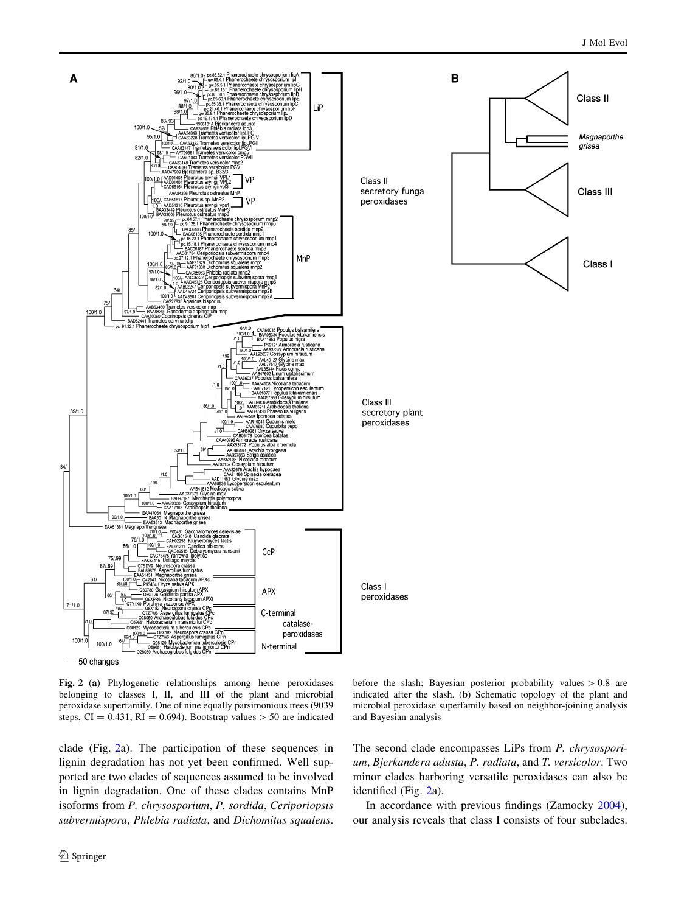<span id="page-7-0"></span>

Fig. 2 (a) Phylogenetic relationships among heme peroxidases belonging to classes I, II, and III of the plant and microbial peroxidase superfamily. One of nine equally parsimonious trees (9039 steps,  $CI = 0.431$ ,  $RI = 0.694$ ). Bootstrap values  $> 50$  are indicated

clade (Fig. 2a). The participation of these sequences in lignin degradation has not yet been confirmed. Well supported are two clades of sequences assumed to be involved in lignin degradation. One of these clades contains MnP isoforms from P. chrysosporium, P. sordida, Ceriporiopsis subvermispora, Phlebia radiata, and Dichomitus squalens.

before the slash; Bayesian posterior probability values  $> 0.8$  are indicated after the slash. (b) Schematic topology of the plant and microbial peroxidase superfamily based on neighbor-joining analysis and Bayesian analysis

The second clade encompasses LiPs from P. chrysosporium, Bjerkandera adusta, P. radiata, and T. versicolor. Two minor clades harboring versatile peroxidases can also be identified (Fig. 2a).

In accordance with previous findings (Zamocky [2004](#page-14-0)), our analysis reveals that class I consists of four subclades.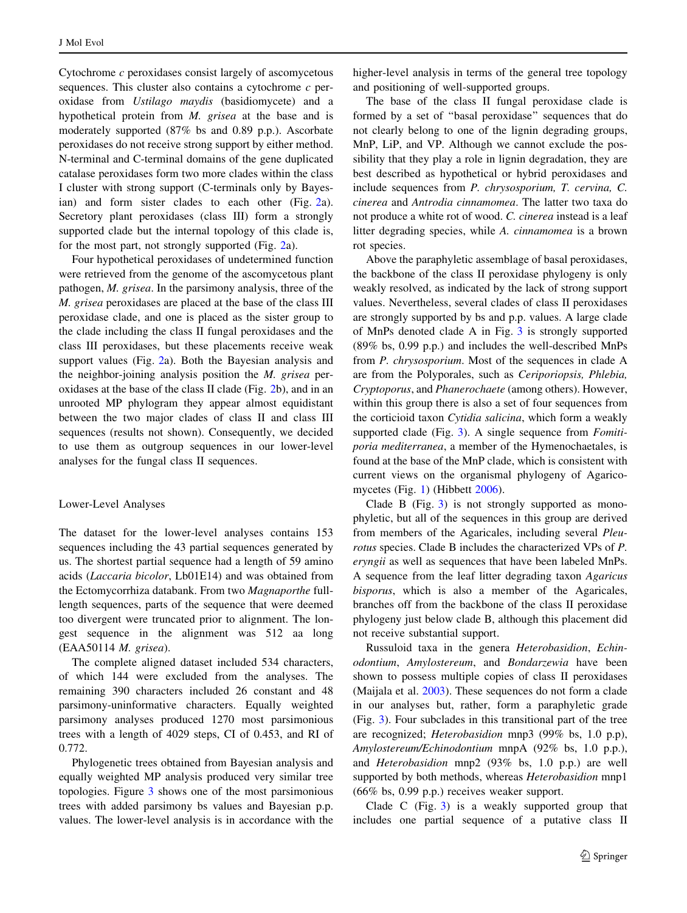Cytochrome c peroxidases consist largely of ascomycetous sequences. This cluster also contains a cytochrome  $c$  peroxidase from Ustilago maydis (basidiomycete) and a hypothetical protein from M. grisea at the base and is moderately supported (87% bs and 0.89 p.p.). Ascorbate peroxidases do not receive strong support by either method. N-terminal and C-terminal domains of the gene duplicated catalase peroxidases form two more clades within the class I cluster with strong support (C-terminals only by Bayesian) and form sister clades to each other (Fig. [2a](#page-7-0)). Secretory plant peroxidases (class III) form a strongly supported clade but the internal topology of this clade is, for the most part, not strongly supported (Fig. [2](#page-7-0)a).

Four hypothetical peroxidases of undetermined function were retrieved from the genome of the ascomycetous plant pathogen, M. grisea. In the parsimony analysis, three of the M. grisea peroxidases are placed at the base of the class III peroxidase clade, and one is placed as the sister group to the clade including the class II fungal peroxidases and the class III peroxidases, but these placements receive weak support values (Fig. [2](#page-7-0)a). Both the Bayesian analysis and the neighbor-joining analysis position the M. grisea peroxidases at the base of the class II clade (Fig. [2](#page-7-0)b), and in an unrooted MP phylogram they appear almost equidistant between the two major clades of class II and class III sequences (results not shown). Consequently, we decided to use them as outgroup sequences in our lower-level analyses for the fungal class II sequences.

#### Lower-Level Analyses

The dataset for the lower-level analyses contains 153 sequences including the 43 partial sequences generated by us. The shortest partial sequence had a length of 59 amino acids (Laccaria bicolor, Lb01E14) and was obtained from the Ectomycorrhiza databank. From two Magnaporthe fulllength sequences, parts of the sequence that were deemed too divergent were truncated prior to alignment. The longest sequence in the alignment was 512 aa long (EAA50114 M. grisea).

The complete aligned dataset included 534 characters, of which 144 were excluded from the analyses. The remaining 390 characters included 26 constant and 48 parsimony-uninformative characters. Equally weighted parsimony analyses produced 1270 most parsimonious trees with a length of 4029 steps, CI of 0.453, and RI of 0.772.

Phylogenetic trees obtained from Bayesian analysis and equally weighted MP analysis produced very similar tree topologies. Figure [3](#page-9-0) shows one of the most parsimonious trees with added parsimony bs values and Bayesian p.p. values. The lower-level analysis is in accordance with the higher-level analysis in terms of the general tree topology and positioning of well-supported groups.

The base of the class II fungal peroxidase clade is formed by a set of ''basal peroxidase'' sequences that do not clearly belong to one of the lignin degrading groups, MnP, LiP, and VP. Although we cannot exclude the possibility that they play a role in lignin degradation, they are best described as hypothetical or hybrid peroxidases and include sequences from P. chrysosporium, T. cervina, C. cinerea and Antrodia cinnamomea. The latter two taxa do not produce a white rot of wood. C. cinerea instead is a leaf litter degrading species, while A. cinnamomea is a brown rot species.

Above the paraphyletic assemblage of basal peroxidases, the backbone of the class II peroxidase phylogeny is only weakly resolved, as indicated by the lack of strong support values. Nevertheless, several clades of class II peroxidases are strongly supported by bs and p.p. values. A large clade of MnPs denoted clade A in Fig. [3](#page-9-0) is strongly supported (89% bs, 0.99 p.p.) and includes the well-described MnPs from P. chrysosporium. Most of the sequences in clade A are from the Polyporales, such as Ceriporiopsis, Phlebia, Cryptoporus, and Phanerochaete (among others). However, within this group there is also a set of four sequences from the corticioid taxon Cytidia salicina, which form a weakly supported clade (Fig. [3\)](#page-9-0). A single sequence from Fomitiporia mediterranea, a member of the Hymenochaetales, is found at the base of the MnP clade, which is consistent with current views on the organismal phylogeny of Agaricomycetes (Fig. [1](#page-6-0)) (Hibbett [2006](#page-13-0)).

Clade B (Fig. [3\)](#page-9-0) is not strongly supported as monophyletic, but all of the sequences in this group are derived from members of the Agaricales, including several Pleurotus species. Clade B includes the characterized VPs of P. eryngii as well as sequences that have been labeled MnPs. A sequence from the leaf litter degrading taxon Agaricus bisporus, which is also a member of the Agaricales, branches off from the backbone of the class II peroxidase phylogeny just below clade B, although this placement did not receive substantial support.

Russuloid taxa in the genera Heterobasidion, Echinodontium, Amylostereum, and Bondarzewia have been shown to possess multiple copies of class II peroxidases (Maijala et al. [2003](#page-13-0)). These sequences do not form a clade in our analyses but, rather, form a paraphyletic grade (Fig. [3\)](#page-9-0). Four subclades in this transitional part of the tree are recognized; Heterobasidion mnp3 (99% bs, 1.0 p.p), Amylostereum/Echinodontium mnpA (92% bs, 1.0 p.p.), and Heterobasidion mnp2 (93% bs, 1.0 p.p.) are well supported by both methods, whereas Heterobasidion mnp1 (66% bs, 0.99 p.p.) receives weaker support.

Clade C (Fig. [3](#page-9-0)) is a weakly supported group that includes one partial sequence of a putative class II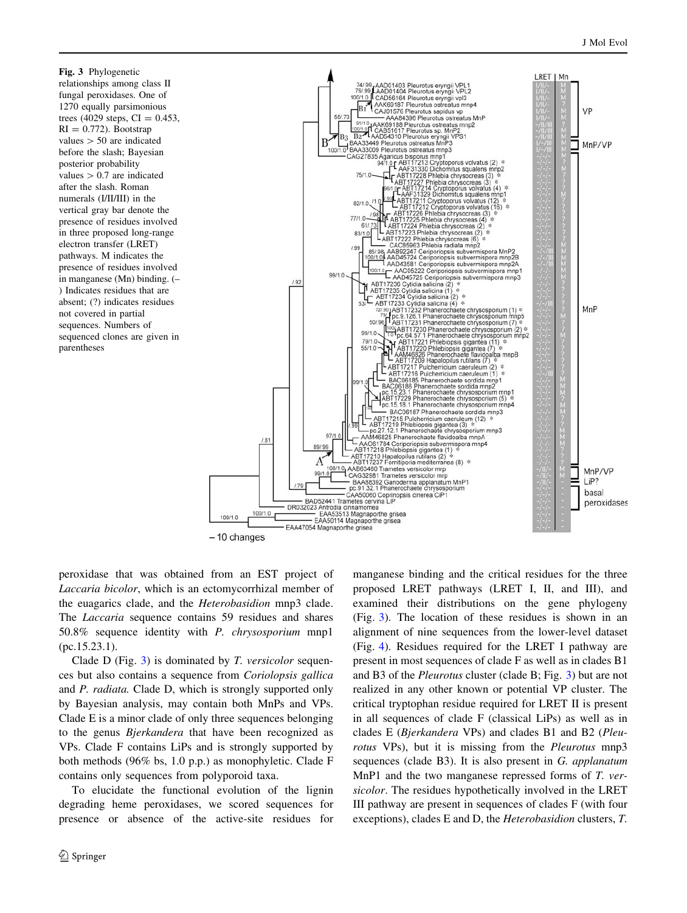<span id="page-9-0"></span>Fig. 3 Phylogenetic relationships among class II fungal peroxidases. One of 1270 equally parsimonious trees (4029 steps,  $CI = 0.453$ ,  $RI = 0.772$ ). Bootstrap values  $> 50$  are indicated before the slash; Bayesian posterior probability values  $> 0.7$  are indicated after the slash. Roman numerals (I/II/III) in the vertical gray bar denote the presence of residues involved in three proposed long-range electron transfer (LRET) pathways. M indicates the presence of residues involved in manganese (Mn) binding. (– ) Indicates residues that are absent; (?) indicates residues not covered in partial sequences. Numbers of sequenced clones are given in parentheses



peroxidase that was obtained from an EST project of Laccaria bicolor, which is an ectomycorrhizal member of the euagarics clade, and the Heterobasidion mnp3 clade. The Laccaria sequence contains 59 residues and shares 50.8% sequence identity with *P. chrysosporium* mnp1 (pc.15.23.1).

Clade D (Fig.  $3$ ) is dominated by T. versicolor sequences but also contains a sequence from Coriolopsis gallica and P. radiata. Clade D, which is strongly supported only by Bayesian analysis, may contain both MnPs and VPs. Clade E is a minor clade of only three sequences belonging to the genus Bjerkandera that have been recognized as VPs. Clade F contains LiPs and is strongly supported by both methods (96% bs, 1.0 p.p.) as monophyletic. Clade F contains only sequences from polyporoid taxa.

To elucidate the functional evolution of the lignin degrading heme peroxidases, we scored sequences for presence or absence of the active-site residues for manganese binding and the critical residues for the three proposed LRET pathways (LRET I, II, and III), and examined their distributions on the gene phylogeny (Fig. 3). The location of these residues is shown in an alignment of nine sequences from the lower-level dataset (Fig. [4\)](#page-11-0). Residues required for the LRET I pathway are present in most sequences of clade F as well as in clades B1 and B3 of the Pleurotus cluster (clade B; Fig. 3) but are not realized in any other known or potential VP cluster. The critical tryptophan residue required for LRET II is present in all sequences of clade F (classical LiPs) as well as in clades E (Bjerkandera VPs) and clades B1 and B2 (Pleurotus VPs), but it is missing from the *Pleurotus* mnp3 sequences (clade B3). It is also present in G. applanatum MnP1 and the two manganese repressed forms of T. versicolor. The residues hypothetically involved in the LRET III pathway are present in sequences of clades F (with four exceptions), clades E and D, the Heterobasidion clusters, T.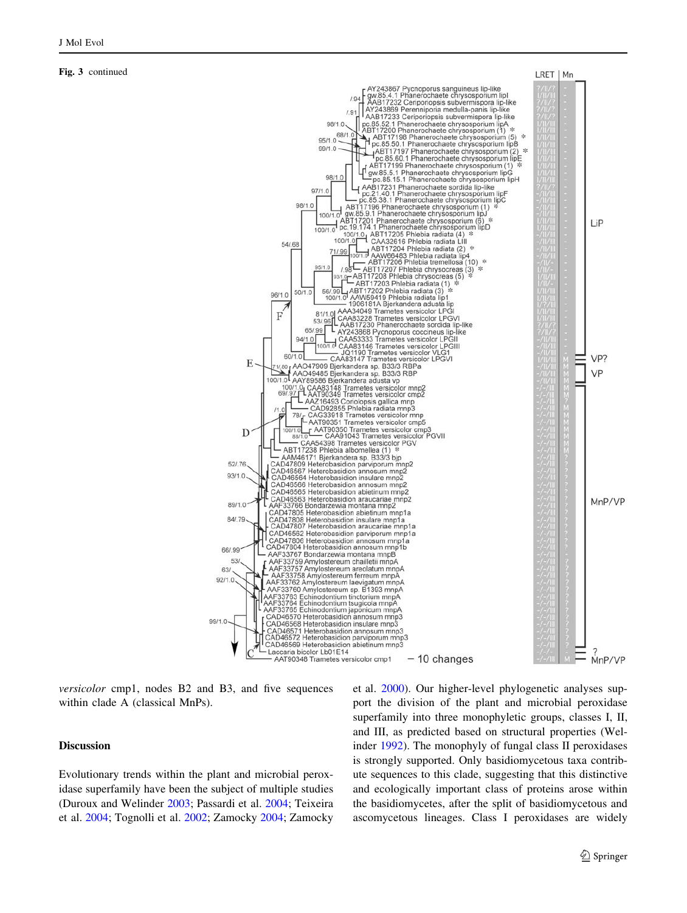#### Fig. 3 continued



versicolor cmp1, nodes B2 and B3, and five sequences within clade A (classical MnPs).

## **Discussion**

Evolutionary trends within the plant and microbial peroxidase superfamily have been the subject of multiple studies (Duroux and Welinder [2003](#page-13-0); Passardi et al. [2004](#page-13-0); Teixeira et al. [2004](#page-14-0); Tognolli et al. [2002;](#page-14-0) Zamocky [2004;](#page-14-0) Zamocky

et al. [2000\)](#page-14-0). Our higher-level phylogenetic analyses support the division of the plant and microbial peroxidase superfamily into three monophyletic groups, classes I, II, and III, as predicted based on structural properties (Welinder [1992\)](#page-14-0). The monophyly of fungal class II peroxidases is strongly supported. Only basidiomycetous taxa contribute sequences to this clade, suggesting that this distinctive and ecologically important class of proteins arose within the basidiomycetes, after the split of basidiomycetous and ascomycetous lineages. Class I peroxidases are widely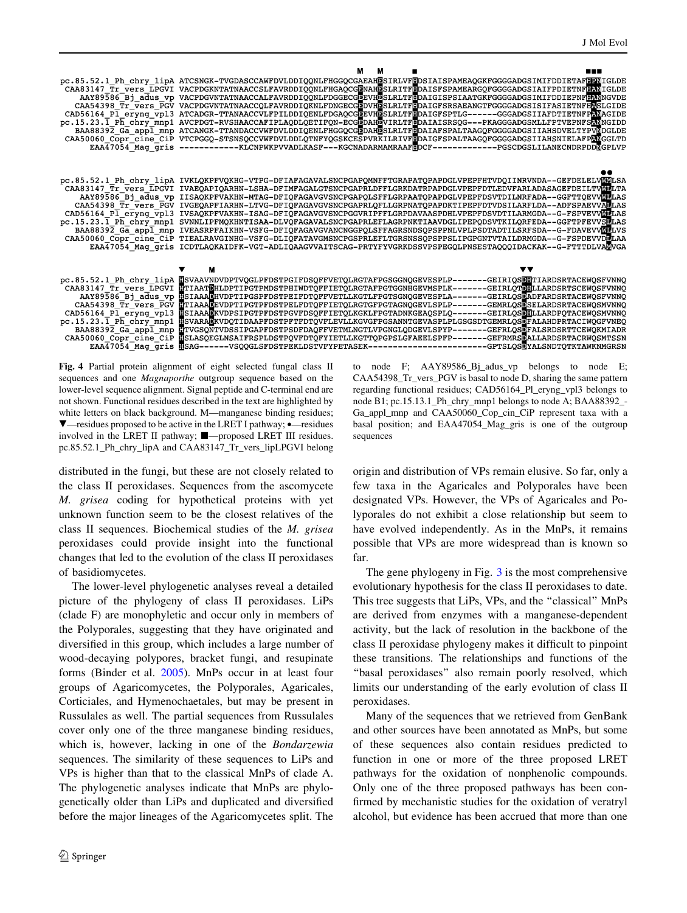<span id="page-11-0"></span>

| м                                                                                                                                                                                                                                                                                                                                                                                                                                                                                                                                                                                                                                                                                                                                                                                                                                                                                                                                                                                                                                                                                              | 88 O M                                                                                                                                                                                                                                                               |
|------------------------------------------------------------------------------------------------------------------------------------------------------------------------------------------------------------------------------------------------------------------------------------------------------------------------------------------------------------------------------------------------------------------------------------------------------------------------------------------------------------------------------------------------------------------------------------------------------------------------------------------------------------------------------------------------------------------------------------------------------------------------------------------------------------------------------------------------------------------------------------------------------------------------------------------------------------------------------------------------------------------------------------------------------------------------------------------------|----------------------------------------------------------------------------------------------------------------------------------------------------------------------------------------------------------------------------------------------------------------------|
| pc.85.52.1 Ph_chry_lipA_ATCSNGK-TVGDASCCAWFDVLDDIQQNLFHGGQCGAEAHDSIRLVFHDSIAISPAMEAQGKFGGGGADGSIMIFDDIETAFHPNIGLDE<br>CAA83147 Tr vers LPGVI VACPDGKNTATNAACCSLFAVRDDIQQNLFHGAQCGENAHESLRITFEDAISFSPAMEARGQFGGGGADGSIAIFPDIETNFFANIGLDE<br>AAY89586 Bj_adus_vp_VACPDGVNTATNAACCALFAVRDDIQQNLFDGGECGBEVHDSLRLTFFDAIGISPSIAATGKFGGGGADGSIMIFDDIEPNFHANNGVDE<br>CAA54398 Tr_vers_FGV_VACPDGVNTATNAACCQLFAVRDDIQKNLFDNGECGBDVHDSLRLTFFDAIGFSRSAEANGTFGGGGADGSISIFASIETNFHASLGIDE<br>CAD56164 PI ervng vpl3 ATCADGR-TTANAACCVLFPILDDIQENLFDGAQCGEEVHESLRLTFHDAIGFSPTLG------GGGADGSIIAFDTIETNFPANAGIDE<br>pc.15.23.1_Ph_chry_mnp1_AVCPDGT-RVSHAACCAFIPLAQDLQETIFQN-ECG <mark>E</mark> DAHEVIRLTFHDAIAISRSQG---PKAGGGADGSMLLFPTVEPNFSANNGIDD<br>BAA88392 Ga appl mnp ATCANGK-TTANDACCVWFDVLDDIQENLFHGGQCGEDAHESLRLTFHDAIAFSPALTAAGQFGGGGADGSIIAHSDVELTYPVNDGLDE<br>CAA50060 Copr cine CiP VTCPGGQ-STSNSQCCVWFDVLDDLQTNFYQGSKCESPVRKILRIVFHDAIGFSPALTAAGQFGGGGADGSIIAHSNIELAFPANGGLTD<br>EAA47054 Mag gris -----------KLCNPWKPVVADLKASF---KGCNADARMAMRAAFHDCF------------PGSCDGSLILANECNDRPDDNGPLVP   |                                                                                                                                                                                                                                                                      |
| pc.85.52.1_Ph_chry_lipA_IVKLQKPFVQKHG-VTPG-DFIAFAGAVALSNCPGAPQMNFFTGRAPATQPAPDGLVPEPFHTVDQIINRVNDA--GEFDELELV <mark>WM</mark> LSA<br>CAA83147 Tr vers LPGVI IVAEQAPIQARHN-LSHA-DFIMFAGALGTSNCPGAPRLDFFLGRKDATRPAPDGLVPEPFDTLEDVFARLADASAGEFDEILTVWULTA<br>AAY89586 Bj adus vp IISAQKPFVAKHN-MTAG-DFIQFAGAVGVSNCPGAPQLSFFLGRPAATQPAPDGLVPEPFDSVTDILNRFADA--GGFTTQEVVMLLAS<br>CAA54398 Tr vers PGV IVGEQAPFIARHN-LTVG-DFIQFAGAVGVSNCPGAPRLQFLLGRPNATQPAPDKTIPEPFDTVDSILARFLDA--ADFSPAEVVALLAS<br>CAD56164 Pl eryng vpl3 IVSAQKPFVAKHN-ISAG-DFIQFAGAVGVSNCPGGVRIPFFLGRPDAVAASPDHLVPEPFDSVDTILARMGDA--G-FSPVEVVMLLAS<br>pc.15.23.1 Ph chry mnp1 SVNNLIPFMOKHNTISAA-DLVOFAGAVALSNCPGAPRLEFLAGRPNKTIAAVDGLIPEPODSVTKILORFEDA--GGFTPFEVVSLLAS<br>BAA88392 Ga appl mnp IVEASRPFAIKHN-VSFG-DFIQFAGAVGVANCNGGPQLSFFAGRSNDSQPSPPNLVPLPSDTADTILSRFSDA--G-FDAVEVVMLLVS<br>CAA50060_COpr_cine_CiP_TIEALRAVGINHG-VSFG-DLIQFATAVGMSNCPGSPRLEFLTGRSNSSQPSPPSLIPGPGNTVTAILDRMGDA--G-FSPDEVVDELAA<br>EAA47054_Mag_gris_ICDTLAQKAIDFK-VGT-ADLIQAAGVVAITSCAG-PRTYFYVGRKDSSVPSPEGQLPNSESTAQQQIDACKAK--G-FTTTDLVAMVGA |                                                                                                                                                                                                                                                                      |
|                                                                                                                                                                                                                                                                                                                                                                                                                                                                                                                                                                                                                                                                                                                                                                                                                                                                                                                                                                                                                                                                                                |                                                                                                                                                                                                                                                                      |
| pc.85.52.1 Ph chry lipA ESVAAVNDVDPTVQGLPFDSTPGIFDSQFFVETQLRGTAFPGSGGNQGEVESPLP------<br>CAA83147 Tr vers LPGVI HTIAATDHLDPTIPGTPMDSTPHIWDTOFFIETOLRGTAFPGTGGNHGEVMSPLK-----<br>AAY89586 Bj adus vp ESIAAADHVDPTIPGSPFDSTPEIFDTQFFVETLLKGTLFPGTSGNQGEVESPLA-<br>CAA54398 Tr vers PGV HTIAAADEVDPTIPGTPFDSTPELFDTQFFIETQLRGTGFPGTAGNQGEVLSPLP-<br>CAD56164 Pl eryng vpl3 ESIAAADKVDPSIPGTPFDSTPGVFDSQFFIETQLKGKLFPGTADNKGEAQSPLQ-<br>pc.15.23.1 Ph chry mnp1 HSVARADKVDQTIDAAPFDSTPFTFDTQVFLEVLLKGVGFPGSANNTGEVASPLPLGSGSDTGEMRLQSDFALAHDPRTACIWQGFVNEQ<br>BAA88392 Ga appl mnp HTVGSONTVDSSIPGAPFDSTPSDFDAOFFVETMLNGTLVPGNGLODGEVLSPYP-----<br>CAA50060 Copr cine CiP ESLASQEGLNSAIFRSPLDSTPQVFDTQFYIETLLKGTTQPGPSLGFAEELSPFP-----<br>EAA47054 Mag_gris ESAG------VSQQGLSFDSTPEKLDSTVFYPETASEK-----------------------                                                                                                                                                                                                                                                                          | -GEIRIOSDHTIARDSRTACEWOSFVNNO<br>-GEIRLOTDHLLARDSRTSCEWOSFVNNO<br>-GEIRLOSDADFARDSRTACEWOSFVNNO<br>-GEMRLOSDSELARDSRTACEWOSMVNNO<br>-GEIRLOSDHLLARDPOTACEWOSMVNNO<br>-GEFRLOSDFALSRDSRTTCEWOKMIADR<br>-GEFRMRSDALLARDSRTACRWOSMTSSN<br>-GPTSLOSDYALSNDTOTKTAWKNMGRSN |

Fig. 4 Partial protein alignment of eight selected fungal class II sequences and one Magnaporthe outgroup sequence based on the lower-level sequence alignment. Signal peptide and C-terminal end are not shown. Functional residues described in the text are highlighted by white letters on black background. M—manganese binding residues;  $\nabla$ —residues proposed to be active in the LRET I pathway;  $\bullet$ —residues involved in the LRET II pathway;  $\blacksquare$ -proposed LRET III residues. pc.85.52.1\_Ph\_chry\_lipA and CAA83147\_Tr\_vers\_lipLPGVI belong

distributed in the fungi, but these are not closely related to the class II peroxidases. Sequences from the ascomycete M. grisea coding for hypothetical proteins with yet unknown function seem to be the closest relatives of the class II sequences. Biochemical studies of the M. grisea peroxidases could provide insight into the functional changes that led to the evolution of the class II peroxidases of basidiomycetes.

The lower-level phylogenetic analyses reveal a detailed picture of the phylogeny of class II peroxidases. LiPs (clade F) are monophyletic and occur only in members of the Polyporales, suggesting that they have originated and diversified in this group, which includes a large number of wood-decaying polypores, bracket fungi, and resupinate forms (Binder et al. [2005](#page-13-0)). MnPs occur in at least four groups of Agaricomycetes, the Polyporales, Agaricales, Corticiales, and Hymenochaetales, but may be present in Russulales as well. The partial sequences from Russulales cover only one of the three manganese binding residues, which is, however, lacking in one of the *Bondarzewia* sequences. The similarity of these sequences to LiPs and VPs is higher than that to the classical MnPs of clade A. The phylogenetic analyses indicate that MnPs are phylogenetically older than LiPs and duplicated and diversified before the major lineages of the Agaricomycetes split. The

to node F; AAY89586\_Bj\_adus\_vp belongs to node E; CAA54398\_Tr\_vers\_PGV is basal to node D, sharing the same pattern regarding functional residues; CAD56164\_Pl\_eryng\_vpl3 belongs to node B1; pc.15.13.1\_Ph\_chry\_mnp1 belongs to node A; BAA88392\_- Ga\_appl\_mnp and CAA50060\_Cop\_cin\_CiP represent taxa with a basal position; and EAA47054\_Mag\_gris is one of the outgroup sequences

origin and distribution of VPs remain elusive. So far, only a few taxa in the Agaricales and Polyporales have been designated VPs. However, the VPs of Agaricales and Polyporales do not exhibit a close relationship but seem to have evolved independently. As in the MnPs, it remains possible that VPs are more widespread than is known so far.

The gene phylogeny in Fig. [3](#page-9-0) is the most comprehensive evolutionary hypothesis for the class II peroxidases to date. This tree suggests that LiPs, VPs, and the ''classical'' MnPs are derived from enzymes with a manganese-dependent activity, but the lack of resolution in the backbone of the class II peroxidase phylogeny makes it difficult to pinpoint these transitions. The relationships and functions of the "basal peroxidases" also remain poorly resolved, which limits our understanding of the early evolution of class II peroxidases.

Many of the sequences that we retrieved from GenBank and other sources have been annotated as MnPs, but some of these sequences also contain residues predicted to function in one or more of the three proposed LRET pathways for the oxidation of nonphenolic compounds. Only one of the three proposed pathways has been confirmed by mechanistic studies for the oxidation of veratryl alcohol, but evidence has been accrued that more than one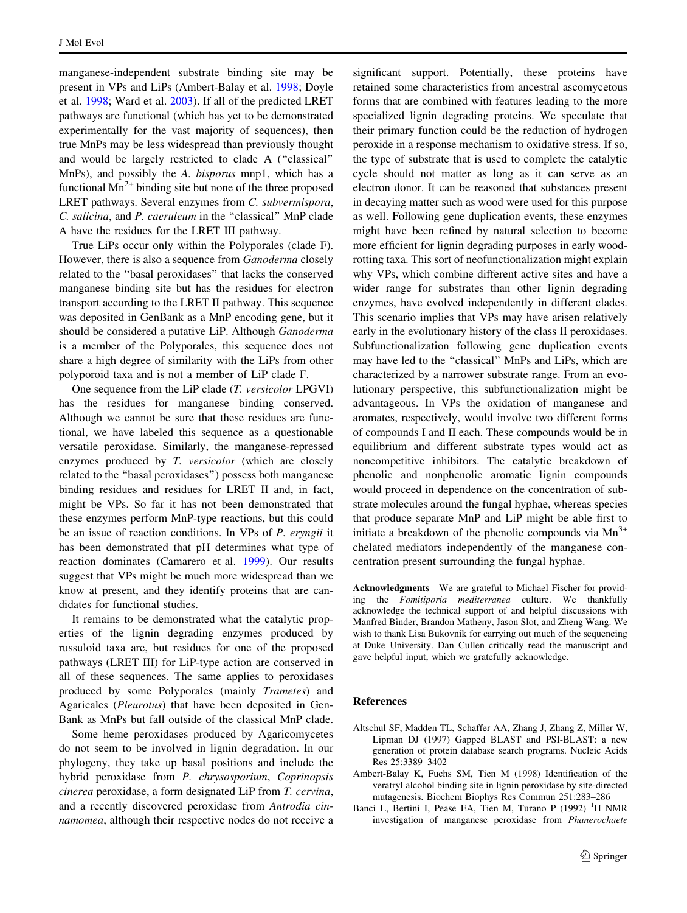<span id="page-12-0"></span>manganese-independent substrate binding site may be present in VPs and LiPs (Ambert-Balay et al. 1998; Doyle et al. [1998](#page-13-0); Ward et al. [2003\)](#page-14-0). If all of the predicted LRET pathways are functional (which has yet to be demonstrated experimentally for the vast majority of sequences), then true MnPs may be less widespread than previously thought and would be largely restricted to clade A (''classical'' MnPs), and possibly the A. bisporus mnp1, which has a functional  $Mn^{2+}$  binding site but none of the three proposed LRET pathways. Several enzymes from C. subvermispora, C. salicina, and P. caeruleum in the ''classical'' MnP clade A have the residues for the LRET III pathway.

True LiPs occur only within the Polyporales (clade F). However, there is also a sequence from Ganoderma closely related to the ''basal peroxidases'' that lacks the conserved manganese binding site but has the residues for electron transport according to the LRET II pathway. This sequence was deposited in GenBank as a MnP encoding gene, but it should be considered a putative LiP. Although Ganoderma is a member of the Polyporales, this sequence does not share a high degree of similarity with the LiPs from other polyporoid taxa and is not a member of LiP clade F.

One sequence from the LiP clade (T. versicolor LPGVI) has the residues for manganese binding conserved. Although we cannot be sure that these residues are functional, we have labeled this sequence as a questionable versatile peroxidase. Similarly, the manganese-repressed enzymes produced by T. versicolor (which are closely related to the ''basal peroxidases'') possess both manganese binding residues and residues for LRET II and, in fact, might be VPs. So far it has not been demonstrated that these enzymes perform MnP-type reactions, but this could be an issue of reaction conditions. In VPs of P. eryngii it has been demonstrated that pH determines what type of reaction dominates (Camarero et al. [1999](#page-13-0)). Our results suggest that VPs might be much more widespread than we know at present, and they identify proteins that are candidates for functional studies.

It remains to be demonstrated what the catalytic properties of the lignin degrading enzymes produced by russuloid taxa are, but residues for one of the proposed pathways (LRET III) for LiP-type action are conserved in all of these sequences. The same applies to peroxidases produced by some Polyporales (mainly Trametes) and Agaricales (Pleurotus) that have been deposited in Gen-Bank as MnPs but fall outside of the classical MnP clade.

Some heme peroxidases produced by Agaricomycetes do not seem to be involved in lignin degradation. In our phylogeny, they take up basal positions and include the hybrid peroxidase from P. chrysosporium, Coprinopsis cinerea peroxidase, a form designated LiP from T. cervina, and a recently discovered peroxidase from Antrodia cinnamomea, although their respective nodes do not receive a significant support. Potentially, these proteins have retained some characteristics from ancestral ascomycetous forms that are combined with features leading to the more specialized lignin degrading proteins. We speculate that their primary function could be the reduction of hydrogen peroxide in a response mechanism to oxidative stress. If so, the type of substrate that is used to complete the catalytic cycle should not matter as long as it can serve as an electron donor. It can be reasoned that substances present in decaying matter such as wood were used for this purpose as well. Following gene duplication events, these enzymes might have been refined by natural selection to become more efficient for lignin degrading purposes in early woodrotting taxa. This sort of neofunctionalization might explain why VPs, which combine different active sites and have a wider range for substrates than other lignin degrading enzymes, have evolved independently in different clades. This scenario implies that VPs may have arisen relatively early in the evolutionary history of the class II peroxidases. Subfunctionalization following gene duplication events may have led to the ''classical'' MnPs and LiPs, which are characterized by a narrower substrate range. From an evolutionary perspective, this subfunctionalization might be advantageous. In VPs the oxidation of manganese and aromates, respectively, would involve two different forms of compounds I and II each. These compounds would be in equilibrium and different substrate types would act as noncompetitive inhibitors. The catalytic breakdown of phenolic and nonphenolic aromatic lignin compounds would proceed in dependence on the concentration of substrate molecules around the fungal hyphae, whereas species that produce separate MnP and LiP might be able first to initiate a breakdown of the phenolic compounds via  $Mn^{3+}$ chelated mediators independently of the manganese concentration present surrounding the fungal hyphae.

Acknowledgments We are grateful to Michael Fischer for providing the Fomitiporia mediterranea culture. We thankfully acknowledge the technical support of and helpful discussions with Manfred Binder, Brandon Matheny, Jason Slot, and Zheng Wang. We wish to thank Lisa Bukovnik for carrying out much of the sequencing at Duke University. Dan Cullen critically read the manuscript and gave helpful input, which we gratefully acknowledge.

#### References

- Altschul SF, Madden TL, Schaffer AA, Zhang J, Zhang Z, Miller W, Lipman DJ (1997) Gapped BLAST and PSI-BLAST: a new generation of protein database search programs. Nucleic Acids Res 25:3389–3402
- Ambert-Balay K, Fuchs SM, Tien M (1998) Identification of the veratryl alcohol binding site in lignin peroxidase by site-directed mutagenesis. Biochem Biophys Res Commun 251:283–286
- Banci L, Bertini I, Pease EA, Tien M, Turano P (1992)<sup>1</sup>H NMR investigation of manganese peroxidase from Phanerochaete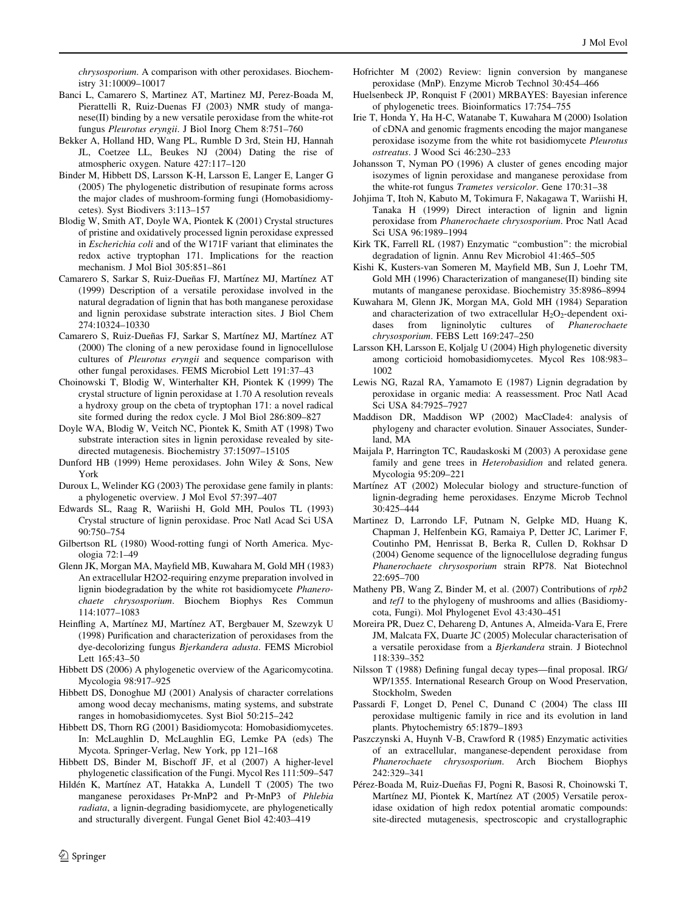<span id="page-13-0"></span>chrysosporium. A comparison with other peroxidases. Biochemistry 31:10009–10017

- Banci L, Camarero S, Martinez AT, Martinez MJ, Perez-Boada M, Pierattelli R, Ruiz-Duenas FJ (2003) NMR study of manganese(II) binding by a new versatile peroxidase from the white-rot fungus Pleurotus eryngii. J Biol Inorg Chem 8:751–760
- Bekker A, Holland HD, Wang PL, Rumble D 3rd, Stein HJ, Hannah JL, Coetzee LL, Beukes NJ (2004) Dating the rise of atmospheric oxygen. Nature 427:117–120
- Binder M, Hibbett DS, Larsson K-H, Larsson E, Langer E, Langer G (2005) The phylogenetic distribution of resupinate forms across the major clades of mushroom-forming fungi (Homobasidiomycetes). Syst Biodivers 3:113–157
- Blodig W, Smith AT, Doyle WA, Piontek K (2001) Crystal structures of pristine and oxidatively processed lignin peroxidase expressed in Escherichia coli and of the W171F variant that eliminates the redox active tryptophan 171. Implications for the reaction mechanism. J Mol Biol 305:851–861
- Camarero S, Sarkar S, Ruiz-Dueñas FJ, Martínez MJ, Martínez AT (1999) Description of a versatile peroxidase involved in the natural degradation of lignin that has both manganese peroxidase and lignin peroxidase substrate interaction sites. J Biol Chem 274:10324–10330
- Camarero S, Ruiz-Dueñas FJ, Sarkar S, Martínez MJ, Martínez AT (2000) The cloning of a new peroxidase found in lignocellulose cultures of Pleurotus eryngii and sequence comparison with other fungal peroxidases. FEMS Microbiol Lett 191:37–43
- Choinowski T, Blodig W, Winterhalter KH, Piontek K (1999) The crystal structure of lignin peroxidase at 1.70 A resolution reveals a hydroxy group on the cbeta of tryptophan 171: a novel radical site formed during the redox cycle. J Mol Biol 286:809–827
- Doyle WA, Blodig W, Veitch NC, Piontek K, Smith AT (1998) Two substrate interaction sites in lignin peroxidase revealed by sitedirected mutagenesis. Biochemistry 37:15097–15105
- Dunford HB (1999) Heme peroxidases. John Wiley & Sons, New York
- Duroux L, Welinder KG (2003) The peroxidase gene family in plants: a phylogenetic overview. J Mol Evol 57:397–407
- Edwards SL, Raag R, Wariishi H, Gold MH, Poulos TL (1993) Crystal structure of lignin peroxidase. Proc Natl Acad Sci USA 90:750–754
- Gilbertson RL (1980) Wood-rotting fungi of North America. Mycologia 72:1–49
- Glenn JK, Morgan MA, Mayfield MB, Kuwahara M, Gold MH (1983) An extracellular H2O2-requiring enzyme preparation involved in lignin biodegradation by the white rot basidiomycete Phanerochaete chrysosporium. Biochem Biophys Res Commun 114:1077–1083
- Heinfling A, Martínez MJ, Martínez AT, Bergbauer M, Szewzyk U (1998) Purification and characterization of peroxidases from the dye-decolorizing fungus Bjerkandera adusta. FEMS Microbiol Lett 165:43–50
- Hibbett DS (2006) A phylogenetic overview of the Agaricomycotina. Mycologia 98:917–925
- Hibbett DS, Donoghue MJ (2001) Analysis of character correlations among wood decay mechanisms, mating systems, and substrate ranges in homobasidiomycetes. Syst Biol 50:215–242
- Hibbett DS, Thorn RG (2001) Basidiomycota: Homobasidiomycetes. In: McLaughlin D, McLaughlin EG, Lemke PA (eds) The Mycota. Springer-Verlag, New York, pp 121–168
- Hibbett DS, Binder M, Bischoff JF, et al (2007) A higher-level phylogenetic classification of the Fungi. Mycol Res 111:509–547
- Hildén K, Martínez AT, Hatakka A, Lundell T (2005) The two manganese peroxidases Pr-MnP2 and Pr-MnP3 of Phlebia radiata, a lignin-degrading basidiomycete, are phylogenetically and structurally divergent. Fungal Genet Biol 42:403–419
- Hofrichter M (2002) Review: lignin conversion by manganese peroxidase (MnP). Enzyme Microb Technol 30:454–466
- Huelsenbeck JP, Ronquist F (2001) MRBAYES: Bayesian inference of phylogenetic trees. Bioinformatics 17:754–755
- Irie T, Honda Y, Ha H-C, Watanabe T, Kuwahara M (2000) Isolation of cDNA and genomic fragments encoding the major manganese peroxidase isozyme from the white rot basidiomycete Pleurotus ostreatus. J Wood Sci 46:230–233
- Johansson T, Nyman PO (1996) A cluster of genes encoding major isozymes of lignin peroxidase and manganese peroxidase from the white-rot fungus Trametes versicolor. Gene 170:31–38
- Johjima T, Itoh N, Kabuto M, Tokimura F, Nakagawa T, Wariishi H, Tanaka H (1999) Direct interaction of lignin and lignin peroxidase from Phanerochaete chrysosporium. Proc Natl Acad Sci USA 96:1989–1994
- Kirk TK, Farrell RL (1987) Enzymatic "combustion": the microbial degradation of lignin. Annu Rev Microbiol 41:465–505
- Kishi K, Kusters-van Someren M, Mayfield MB, Sun J, Loehr TM, Gold MH (1996) Characterization of manganese(II) binding site mutants of manganese peroxidase. Biochemistry 35:8986–8994
- Kuwahara M, Glenn JK, Morgan MA, Gold MH (1984) Separation and characterization of two extracellular  $H_2O_2$ -dependent oxidases from ligninolytic cultures of *Phanerochaete* chrysosporium. FEBS Lett 169:247–250
- Larsson KH, Larsson E, Koljalg U (2004) High phylogenetic diversity among corticioid homobasidiomycetes. Mycol Res 108:983– 1002
- Lewis NG, Razal RA, Yamamoto E (1987) Lignin degradation by peroxidase in organic media: A reassessment. Proc Natl Acad Sci USA 84:7925–7927
- Maddison DR, Maddison WP (2002) MacClade4: analysis of phylogeny and character evolution. Sinauer Associates, Sunderland, MA
- Maijala P, Harrington TC, Raudaskoski M (2003) A peroxidase gene family and gene trees in *Heterobasidion* and related genera. Mycologia 95:209–221
- Martínez AT (2002) Molecular biology and structure-function of lignin-degrading heme peroxidases. Enzyme Microb Technol 30:425–444
- Martinez D, Larrondo LF, Putnam N, Gelpke MD, Huang K, Chapman J, Helfenbein KG, Ramaiya P, Detter JC, Larimer F, Coutinho PM, Henrissat B, Berka R, Cullen D, Rokhsar D (2004) Genome sequence of the lignocellulose degrading fungus Phanerochaete chrysosporium strain RP78. Nat Biotechnol 22:695–700
- Matheny PB, Wang Z, Binder M, et al. (2007) Contributions of rpb2 and *tef1* to the phylogeny of mushrooms and allies (Basidiomycota, Fungi). Mol Phylogenet Evol 43:430–451
- Moreira PR, Duez C, Dehareng D, Antunes A, Almeida-Vara E, Frere JM, Malcata FX, Duarte JC (2005) Molecular characterisation of a versatile peroxidase from a Bjerkandera strain. J Biotechnol 118:339–352
- Nilsson T (1988) Defining fungal decay types—final proposal. IRG/ WP/1355. International Research Group on Wood Preservation, Stockholm, Sweden
- Passardi F, Longet D, Penel C, Dunand C (2004) The class III peroxidase multigenic family in rice and its evolution in land plants. Phytochemistry 65:1879–1893
- Paszczynski A, Huynh V-B, Crawford R (1985) Enzymatic activities of an extracellular, manganese-dependent peroxidase from Phanerochaete chrysosporium. Arch Biochem Biophys 242:329–341
- Pérez-Boada M, Ruiz-Dueñas FJ, Pogni R, Basosi R, Choinowski T, Martínez MJ, Piontek K, Martínez AT (2005) Versatile peroxidase oxidation of high redox potential aromatic compounds: site-directed mutagenesis, spectroscopic and crystallographic